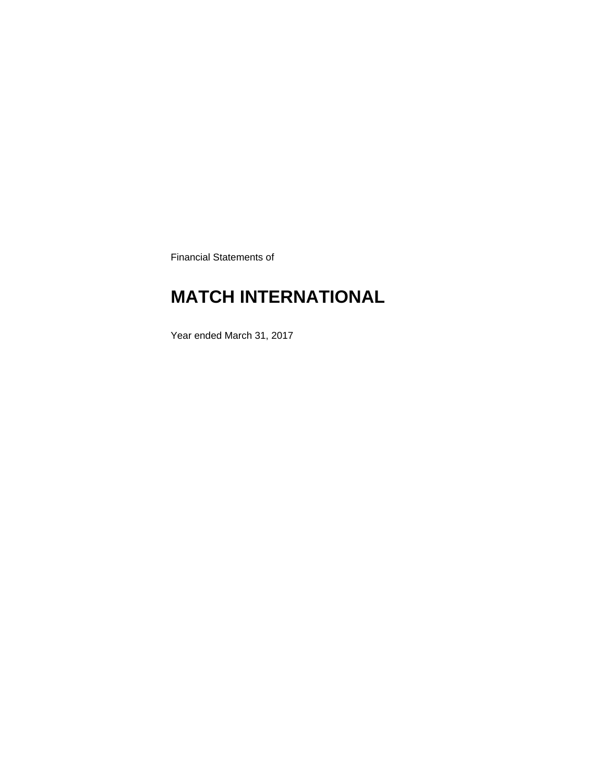Financial Statements of

### **MATCH INTERNATIONAL**

Year ended March 31, 2017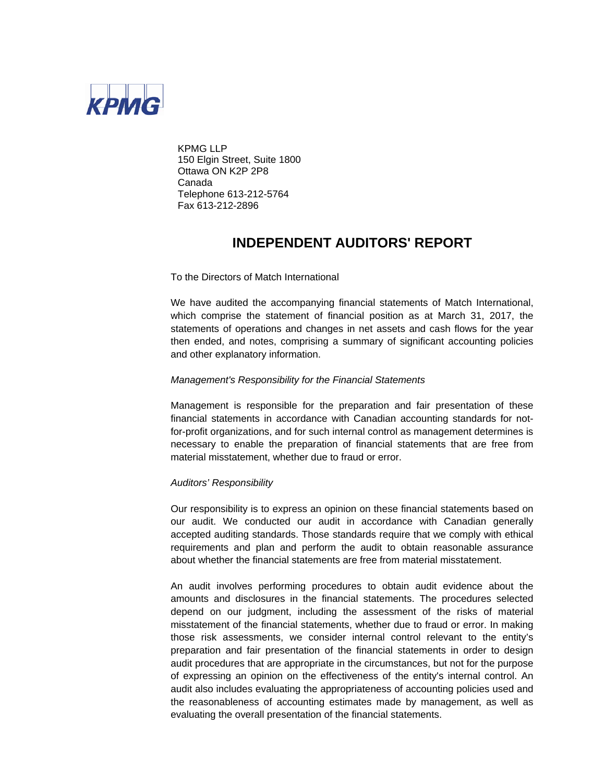

KPMG LLP 150 Elgin Street, Suite 1800 Ottawa ON K2P 2P8 Canada Telephone 613-212-5764 Fax 613-212-2896

### **INDEPENDENT AUDITORS' REPORT**

To the Directors of Match International

We have audited the accompanying financial statements of Match International, which comprise the statement of financial position as at March 31, 2017, the statements of operations and changes in net assets and cash flows for the year then ended, and notes, comprising a summary of significant accounting policies and other explanatory information.

#### *Management's Responsibility for the Financial Statements*

Management is responsible for the preparation and fair presentation of these financial statements in accordance with Canadian accounting standards for notfor-profit organizations, and for such internal control as management determines is necessary to enable the preparation of financial statements that are free from material misstatement, whether due to fraud or error.

#### *Auditors' Responsibility*

Our responsibility is to express an opinion on these financial statements based on our audit. We conducted our audit in accordance with Canadian generally accepted auditing standards. Those standards require that we comply with ethical requirements and plan and perform the audit to obtain reasonable assurance about whether the financial statements are free from material misstatement.

An audit involves performing procedures to obtain audit evidence about the amounts and disclosures in the financial statements. The procedures selected depend on our judgment, including the assessment of the risks of material misstatement of the financial statements, whether due to fraud or error. In making those risk assessments, we consider internal control relevant to the entity's preparation and fair presentation of the financial statements in order to design audit procedures that are appropriate in the circumstances, but not for the purpose of expressing an opinion on the effectiveness of the entity's internal control. An audit also includes evaluating the appropriateness of accounting policies used and the reasonableness of accounting estimates made by management, as well as evaluating the overall presentation of the financial statements.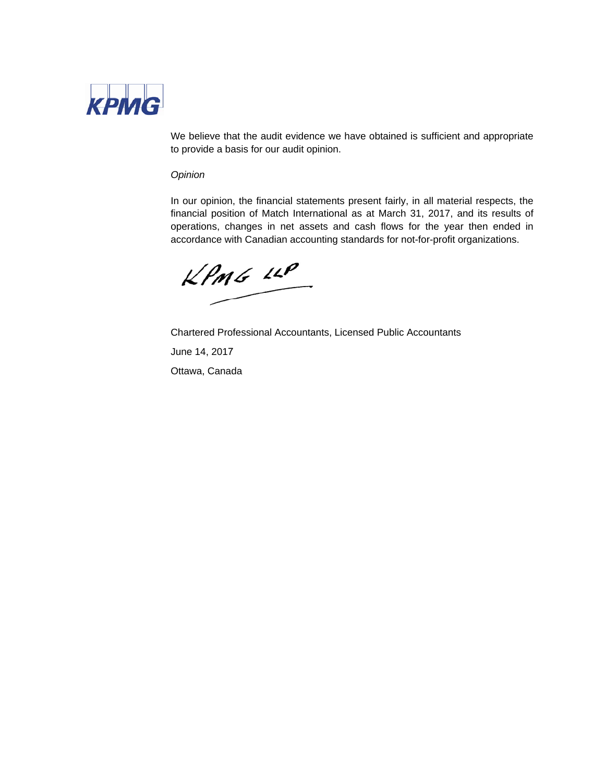

We believe that the audit evidence we have obtained is sufficient and appropriate to provide a basis for our audit opinion.

### *Opinion*

In our opinion, the financial statements present fairly, in all material respects, the financial position of Match International as at March 31, 2017, and its results of operations, changes in net assets and cash flows for the year then ended in accordance with Canadian accounting standards for not-for-profit organizations.

KPMG LLP

Chartered Professional Accountants, Licensed Public Accountants June 14, 2017 Ottawa, Canada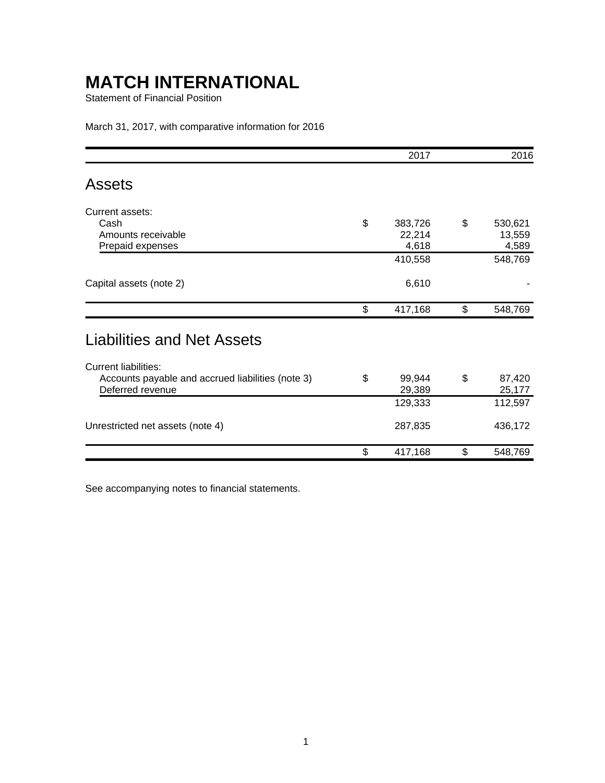Statement of Financial Position

March 31, 2017, with comparative information for 2016

|                                                   | 2017          | 2016          |
|---------------------------------------------------|---------------|---------------|
| <b>Assets</b>                                     |               |               |
| Current assets:                                   |               |               |
| Cash                                              | \$<br>383,726 | \$<br>530,621 |
| Amounts receivable                                | 22,214        | 13,559        |
| Prepaid expenses                                  | 4,618         | 4,589         |
|                                                   | 410,558       | 548,769       |
| Capital assets (note 2)                           | 6,610         |               |
|                                                   | \$<br>417,168 | \$<br>548,769 |
| <b>Liabilities and Net Assets</b>                 |               |               |
| Current liabilities:                              |               |               |
| Accounts payable and accrued liabilities (note 3) | \$<br>99,944  | \$<br>87,420  |
| Deferred revenue                                  | 29,389        | 25,177        |
|                                                   | 129,333       | 112,597       |
| Unrestricted net assets (note 4)                  | 287,835       | 436,172       |
|                                                   | \$<br>417,168 | \$<br>548,769 |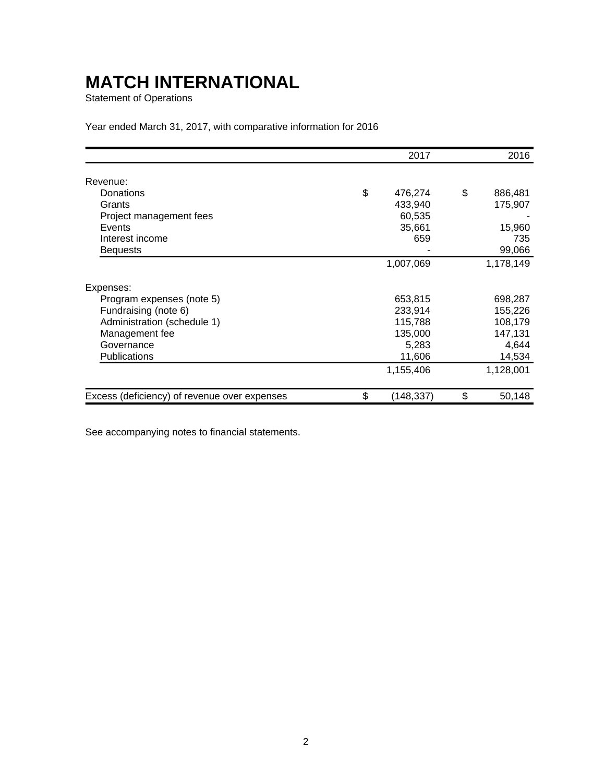Statement of Operations

Year ended March 31, 2017, with comparative information for 2016

|                                              | 2017             | 2016          |
|----------------------------------------------|------------------|---------------|
| Revenue:                                     |                  |               |
| Donations                                    | \$<br>476,274    | \$<br>886,481 |
| Grants                                       | 433,940          | 175,907       |
| Project management fees                      | 60,535           |               |
| Events                                       | 35,661           | 15,960        |
| Interest income                              | 659              | 735           |
| <b>Bequests</b>                              |                  | 99,066        |
|                                              | 1,007,069        | 1,178,149     |
| Expenses:                                    |                  |               |
| Program expenses (note 5)                    | 653,815          | 698,287       |
| Fundraising (note 6)                         | 233,914          | 155,226       |
| Administration (schedule 1)                  | 115,788          | 108,179       |
| Management fee                               | 135,000          | 147,131       |
| Governance                                   | 5,283            | 4,644         |
| Publications                                 | 11,606           | 14,534        |
|                                              | 1,155,406        | 1,128,001     |
| Excess (deficiency) of revenue over expenses | \$<br>(148, 337) | \$<br>50,148  |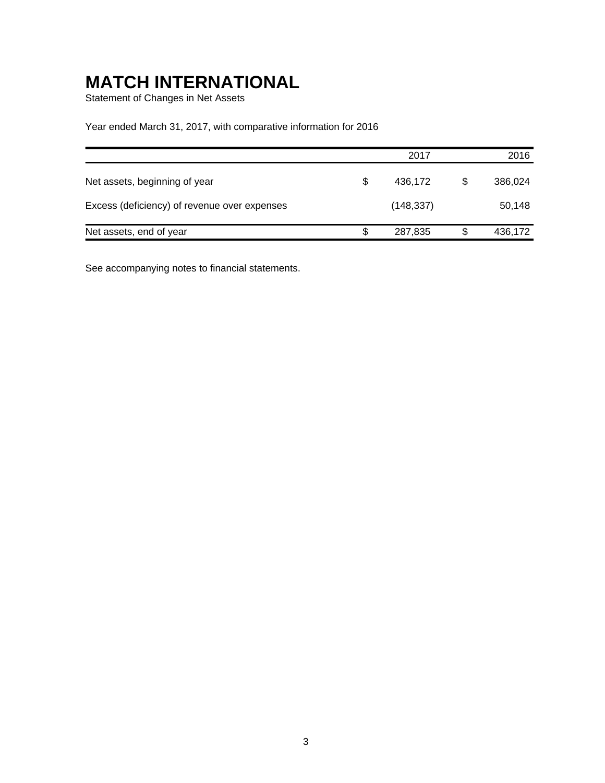Statement of Changes in Net Assets

Year ended March 31, 2017, with comparative information for 2016

|                                              |   | 2017       |   | 2016    |
|----------------------------------------------|---|------------|---|---------|
| Net assets, beginning of year                | S | 436,172    | S | 386,024 |
| Excess (deficiency) of revenue over expenses |   | (148, 337) |   | 50,148  |
| Net assets, end of year                      |   | 287,835    |   | 436,172 |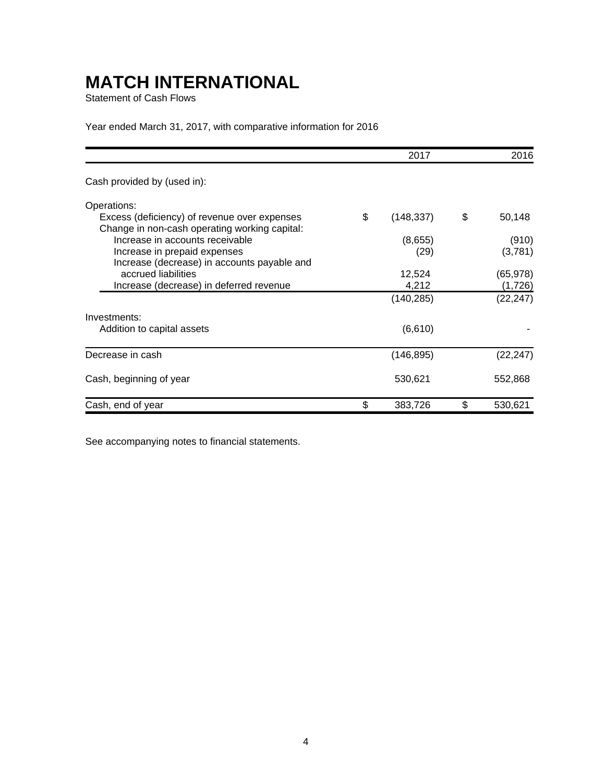Statement of Cash Flows

Year ended March 31, 2017, with comparative information for 2016

|                                                                                               | 2017             | 2016          |
|-----------------------------------------------------------------------------------------------|------------------|---------------|
| Cash provided by (used in):                                                                   |                  |               |
| Operations:                                                                                   |                  |               |
| Excess (deficiency) of revenue over expenses<br>Change in non-cash operating working capital: | \$<br>(148, 337) | \$<br>50,148  |
| Increase in accounts receivable                                                               | (8,655)          | (910)         |
| Increase in prepaid expenses                                                                  | (29)             | (3,781)       |
| Increase (decrease) in accounts payable and                                                   |                  |               |
| accrued liabilities                                                                           | 12,524           | (65, 978)     |
| Increase (decrease) in deferred revenue                                                       | 4,212            | (1,726)       |
|                                                                                               | (140, 285)       | (22, 247)     |
| Investments:                                                                                  |                  |               |
| Addition to capital assets                                                                    | (6,610)          |               |
| Decrease in cash                                                                              | (146, 895)       | (22, 247)     |
| Cash, beginning of year                                                                       | 530,621          | 552,868       |
| Cash, end of year                                                                             | \$<br>383,726    | \$<br>530,621 |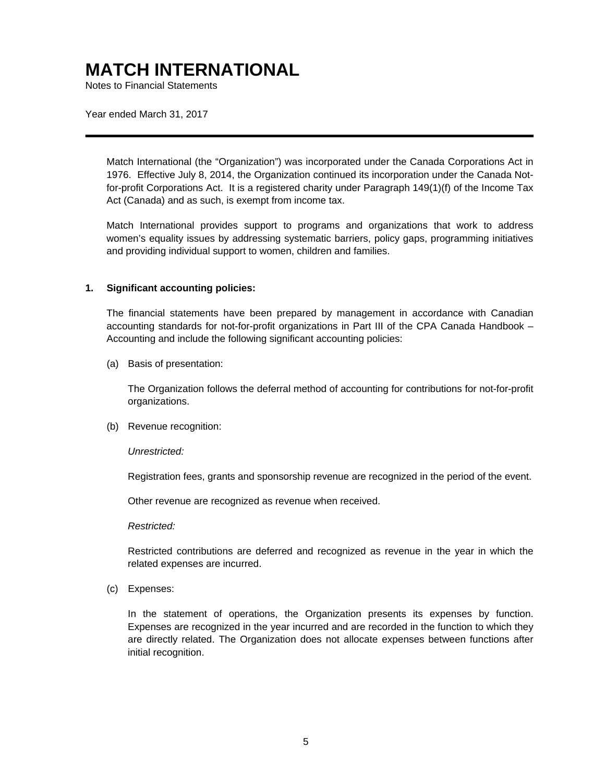Notes to Financial Statements

Year ended March 31, 2017

Match International (the "Organization") was incorporated under the Canada Corporations Act in 1976. Effective July 8, 2014, the Organization continued its incorporation under the Canada Notfor-profit Corporations Act. It is a registered charity under Paragraph 149(1)(f) of the Income Tax Act (Canada) and as such, is exempt from income tax.

Match International provides support to programs and organizations that work to address women's equality issues by addressing systematic barriers, policy gaps, programming initiatives and providing individual support to women, children and families.

#### **1. Significant accounting policies:**

The financial statements have been prepared by management in accordance with Canadian accounting standards for not-for-profit organizations in Part III of the CPA Canada Handbook – Accounting and include the following significant accounting policies:

(a) Basis of presentation:

The Organization follows the deferral method of accounting for contributions for not-for-profit organizations.

(b) Revenue recognition:

*Unrestricted:*

Registration fees, grants and sponsorship revenue are recognized in the period of the event.

Other revenue are recognized as revenue when received.

*Restricted:*

Restricted contributions are deferred and recognized as revenue in the year in which the related expenses are incurred.

(c) Expenses:

In the statement of operations, the Organization presents its expenses by function. Expenses are recognized in the year incurred and are recorded in the function to which they are directly related. The Organization does not allocate expenses between functions after initial recognition.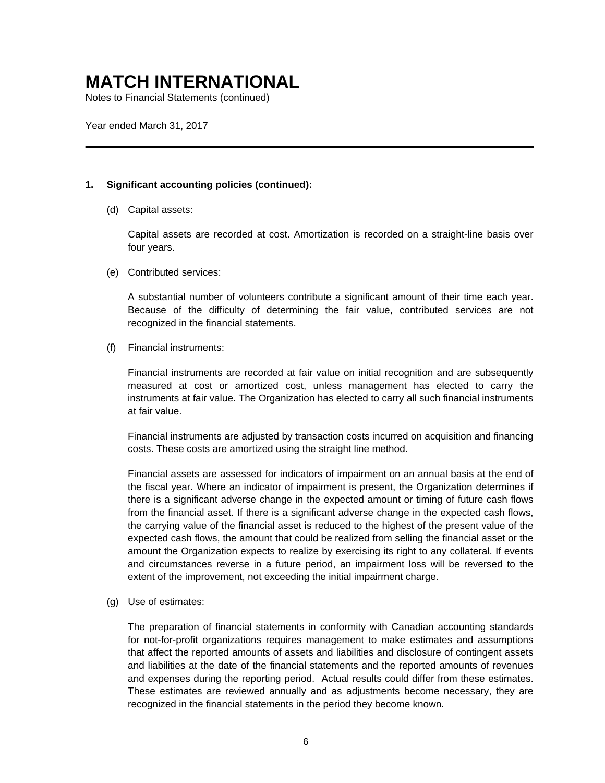Notes to Financial Statements (continued)

Year ended March 31, 2017

#### **1. Significant accounting policies (continued):**

(d) Capital assets:

Capital assets are recorded at cost. Amortization is recorded on a straight-line basis over four years.

(e) Contributed services:

A substantial number of volunteers contribute a significant amount of their time each year. Because of the difficulty of determining the fair value, contributed services are not recognized in the financial statements.

(f) Financial instruments:

Financial instruments are recorded at fair value on initial recognition and are subsequently measured at cost or amortized cost, unless management has elected to carry the instruments at fair value. The Organization has elected to carry all such financial instruments at fair value.

Financial instruments are adjusted by transaction costs incurred on acquisition and financing costs. These costs are amortized using the straight line method.

Financial assets are assessed for indicators of impairment on an annual basis at the end of the fiscal year. Where an indicator of impairment is present, the Organization determines if there is a significant adverse change in the expected amount or timing of future cash flows from the financial asset. If there is a significant adverse change in the expected cash flows, the carrying value of the financial asset is reduced to the highest of the present value of the expected cash flows, the amount that could be realized from selling the financial asset or the amount the Organization expects to realize by exercising its right to any collateral. If events and circumstances reverse in a future period, an impairment loss will be reversed to the extent of the improvement, not exceeding the initial impairment charge.

(g) Use of estimates:

The preparation of financial statements in conformity with Canadian accounting standards for not-for-profit organizations requires management to make estimates and assumptions that affect the reported amounts of assets and liabilities and disclosure of contingent assets and liabilities at the date of the financial statements and the reported amounts of revenues and expenses during the reporting period. Actual results could differ from these estimates. These estimates are reviewed annually and as adjustments become necessary, they are recognized in the financial statements in the period they become known.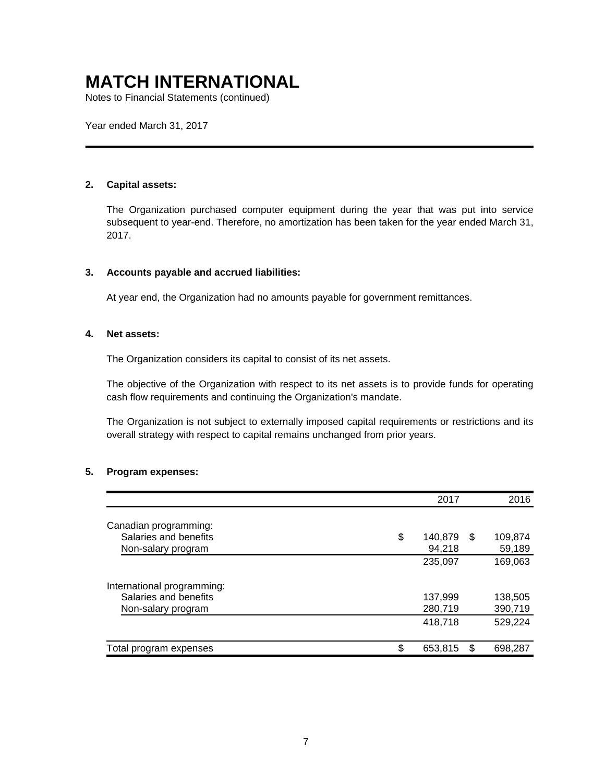Notes to Financial Statements (continued)

Year ended March 31, 2017

#### **2. Capital assets:**

The Organization purchased computer equipment during the year that was put into service subsequent to year-end. Therefore, no amortization has been taken for the year ended March 31, 2017.

#### **3. Accounts payable and accrued liabilities:**

At year end, the Organization had no amounts payable for government remittances.

#### **4. Net assets:**

The Organization considers its capital to consist of its net assets.

The objective of the Organization with respect to its net assets is to provide funds for operating cash flow requirements and continuing the Organization's mandate.

The Organization is not subject to externally imposed capital requirements or restrictions and its overall strategy with respect to capital remains unchanged from prior years.

#### **5. Program expenses:**

|                            | 2017          | 2016          |
|----------------------------|---------------|---------------|
| Canadian programming:      |               |               |
| Salaries and benefits      | \$<br>140,879 | \$<br>109,874 |
| Non-salary program         | 94,218        | 59,189        |
|                            | 235,097       | 169,063       |
| International programming: |               |               |
| Salaries and benefits      | 137,999       | 138,505       |
| Non-salary program         | 280,719       | 390,719       |
|                            | 418,718       | 529,224       |
|                            |               |               |
| Total program expenses     | \$<br>653,815 | \$<br>698,287 |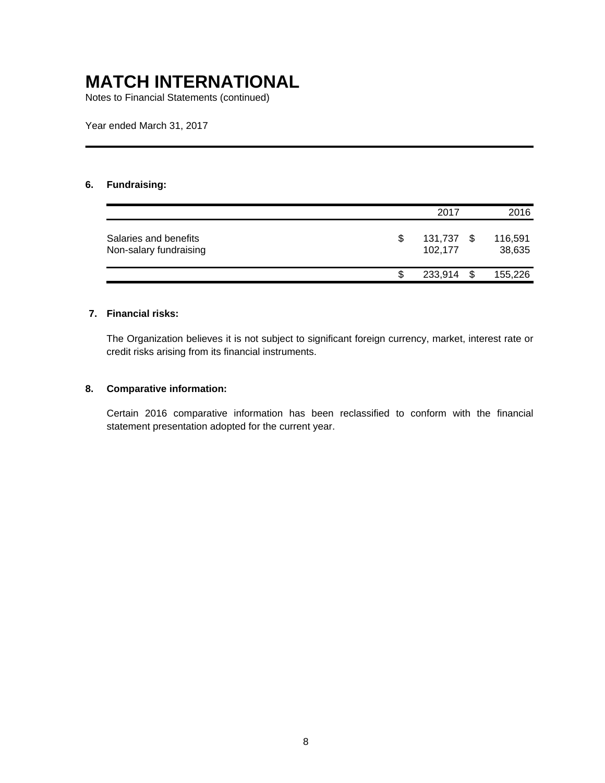Notes to Financial Statements (continued)

Year ended March 31, 2017

### **6. Fundraising:**

|                                                 | 2017               |      | 2016              |
|-------------------------------------------------|--------------------|------|-------------------|
| Salaries and benefits<br>Non-salary fundraising | 131,737<br>102,177 | - \$ | 116,591<br>38,635 |
|                                                 | 233,914            | - \$ | 155,226           |

#### **7. Financial risks:**

The Organization believes it is not subject to significant foreign currency, market, interest rate or credit risks arising from its financial instruments.

#### **8. Comparative information:**

Certain 2016 comparative information has been reclassified to conform with the financial statement presentation adopted for the current year.